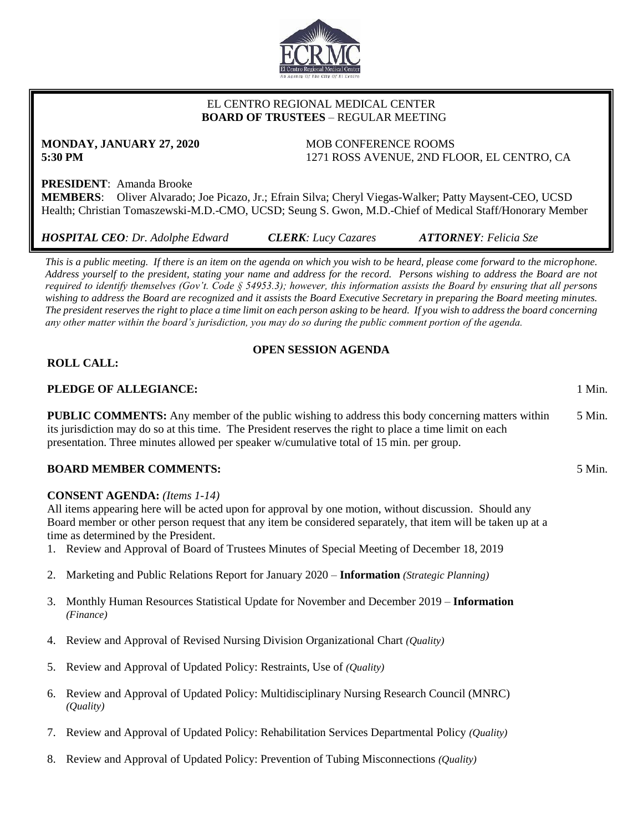

## EL CENTRO REGIONAL MEDICAL CENTER  **BOARD OF TRUSTEES** – REGULAR MEETING

# **MONDAY, JANUARY 27, 2020** MOB CONFERENCE ROOMS

**5:30 PM** 1271 ROSS AVENUE, 2ND FLOOR, EL CENTRO, CA

## **PRESIDENT**: Amanda Brooke

**MEMBERS**: Oliver Alvarado; Joe Picazo, Jr.; Efrain Silva; Cheryl Viegas-Walker; Patty Maysent-CEO, UCSD Health; Christian Tomaszewski-M.D.-CMO, UCSD; Seung S. Gwon, M.D.-Chief of Medical Staff/Honorary Member

*HOSPITAL CEO: Dr. Adolphe Edward CLERK: Lucy Cazares ATTORNEY: Felicia Sze*

*This is a public meeting. If there is an item on the agenda on which you wish to be heard, please come forward to the microphone. Address yourself to the president, stating your name and address for the record. Persons wishing to address the Board are not required to identify themselves (Gov't. Code § 54953.3); however, this information assists the Board by ensuring that all persons wishing to address the Board are recognized and it assists the Board Executive Secretary in preparing the Board meeting minutes. The president reserves the right to place a time limit on each person asking to be heard. If you wish to address the board concerning any other matter within the board's jurisdiction, you may do so during the public comment portion of the agenda.*

## **OPEN SESSION AGENDA**

## **ROLL CALL:**

## **PLEDGE OF ALLEGIANCE:** 1 Min.

**PUBLIC COMMENTS:** Any member of the public wishing to address this body concerning matters within its jurisdiction may do so at this time. The President reserves the right to place a time limit on each presentation. Three minutes allowed per speaker w/cumulative total of 15 min. per group. 5 Min.

## **BOARD MEMBER COMMENTS:** 5 Min.

## **CONSENT AGENDA:** *(Items 1-14)*

All items appearing here will be acted upon for approval by one motion, without discussion. Should any Board member or other person request that any item be considered separately, that item will be taken up at a time as determined by the President.

- 1. Review and Approval of Board of Trustees Minutes of Special Meeting of December 18, 2019
- 2. Marketing and Public Relations Report for January 2020 **Information** *(Strategic Planning)*
- 3. Monthly Human Resources Statistical Update for November and December 2019 **Information** *(Finance)*
- 4. Review and Approval of Revised Nursing Division Organizational Chart *(Quality)*
- 5. Review and Approval of Updated Policy: Restraints, Use of *(Quality)*
- 6. Review and Approval of Updated Policy: Multidisciplinary Nursing Research Council (MNRC) *(Quality)*
- 7. Review and Approval of Updated Policy: Rehabilitation Services Departmental Policy *(Quality)*
- 8. Review and Approval of Updated Policy: Prevention of Tubing Misconnections *(Quality)*